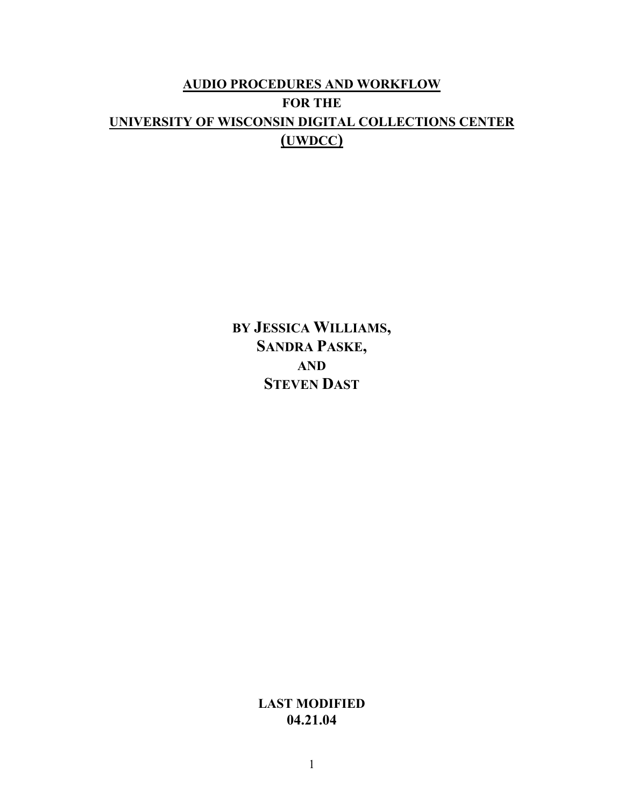# **AUDIO PROCEDURES AND WORKFLOW FOR THE UNIVERSITY OF WISCONSIN DIGITAL COLLECTIONS CENTER (UWDCC)**

**BY JESSICA WILLIAMS, SANDRA PASKE, AND STEVEN DAST**

> **LAST MODIFIED 04.21.04**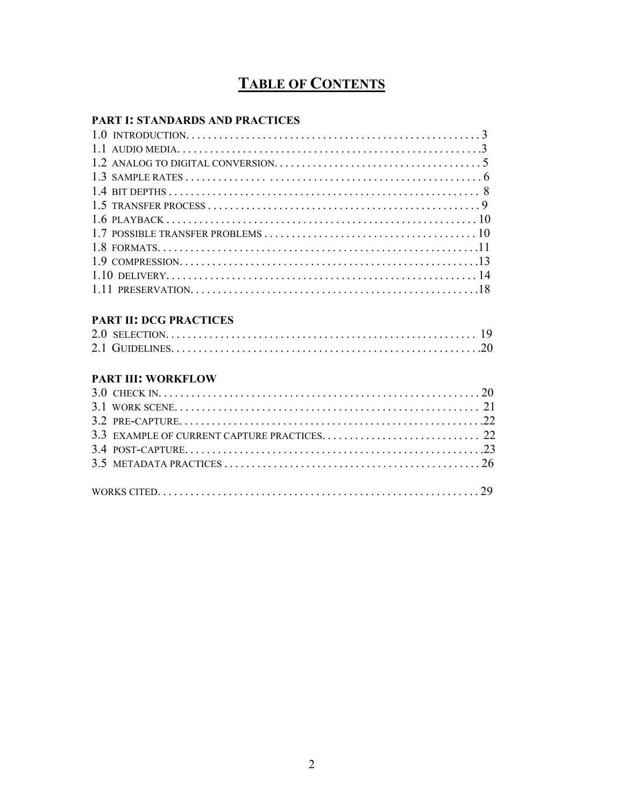# **TABLE OF CONTENTS**

### **PART I: STANDARDS AND PRACTICES**

#### **PART II: DCG PRACTICES**

## **PART III: WORKFLOW**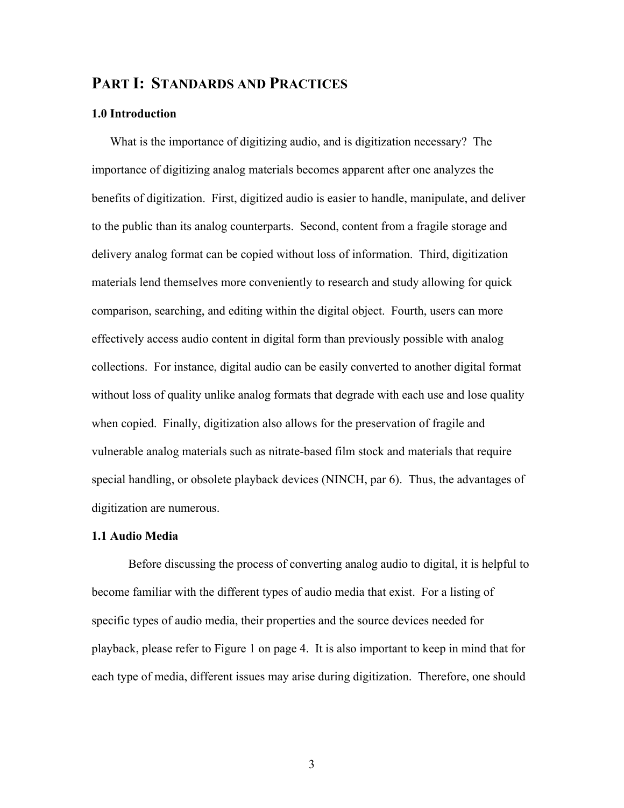# **PART I: STANDARDS AND PRACTICES**

#### **1.0 Introduction**

What is the importance of digitizing audio, and is digitization necessary? The importance of digitizing analog materials becomes apparent after one analyzes the benefits of digitization. First, digitized audio is easier to handle, manipulate, and deliver to the public than its analog counterparts. Second, content from a fragile storage and delivery analog format can be copied without loss of information. Third, digitization materials lend themselves more conveniently to research and study allowing for quick comparison, searching, and editing within the digital object. Fourth, users can more effectively access audio content in digital form than previously possible with analog collections. For instance, digital audio can be easily converted to another digital format without loss of quality unlike analog formats that degrade with each use and lose quality when copied. Finally, digitization also allows for the preservation of fragile and vulnerable analog materials such as nitrate-based film stock and materials that require special handling, or obsolete playback devices (NINCH, par 6). Thus, the advantages of digitization are numerous.

#### **1.1 Audio Media**

Before discussing the process of converting analog audio to digital, it is helpful to become familiar with the different types of audio media that exist. For a listing of specific types of audio media, their properties and the source devices needed for playback, please refer to Figure 1 on page 4. It is also important to keep in mind that for each type of media, different issues may arise during digitization. Therefore, one should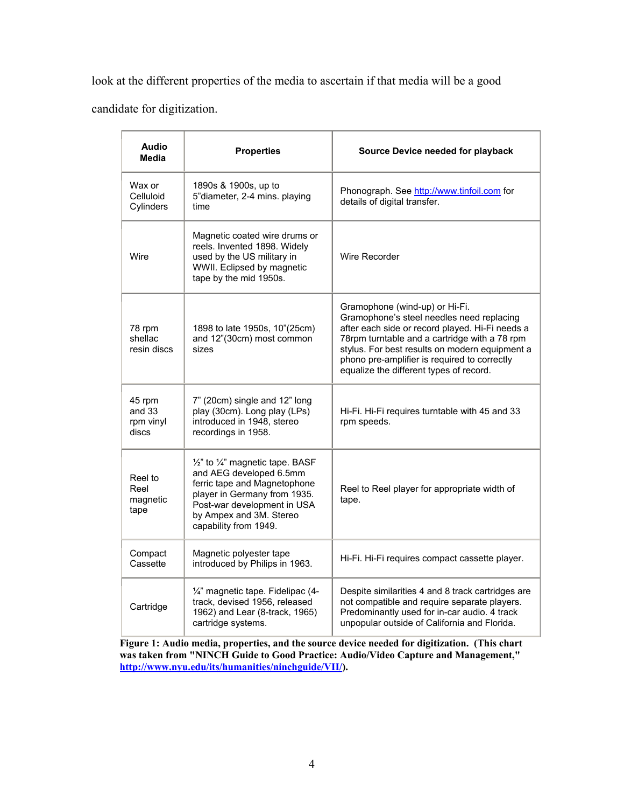look at the different properties of the media to ascertain if that media will be a good

candidate for digitization.

| <b>Audio</b><br><b>Media</b>                                                                                                                                                                                                                          | <b>Properties</b>                                                                                                                                   | Source Device needed for playback                                                                                                                                                                                                                                                                                            |
|-------------------------------------------------------------------------------------------------------------------------------------------------------------------------------------------------------------------------------------------------------|-----------------------------------------------------------------------------------------------------------------------------------------------------|------------------------------------------------------------------------------------------------------------------------------------------------------------------------------------------------------------------------------------------------------------------------------------------------------------------------------|
| Wax or<br>Celluloid<br>Cylinders                                                                                                                                                                                                                      | 1890s & 1900s, up to<br>5"diameter, 2-4 mins. playing<br>time                                                                                       | Phonograph. See http://www.tinfoil.com for<br>details of digital transfer.                                                                                                                                                                                                                                                   |
| Wire                                                                                                                                                                                                                                                  | Magnetic coated wire drums or<br>reels. Invented 1898. Widely<br>used by the US military in<br>WWII. Eclipsed by magnetic<br>tape by the mid 1950s. | Wire Recorder                                                                                                                                                                                                                                                                                                                |
| 78 rpm<br>shellac<br>resin discs                                                                                                                                                                                                                      | 1898 to late 1950s, 10"(25cm)<br>and 12"(30cm) most common<br>sizes                                                                                 | Gramophone (wind-up) or Hi-Fi.<br>Gramophone's steel needles need replacing<br>after each side or record played. Hi-Fi needs a<br>78rpm turntable and a cartridge with a 78 rpm<br>stylus. For best results on modern equipment a<br>phono pre-amplifier is required to correctly<br>equalize the different types of record. |
| 7" (20cm) single and 12" long<br>45 rpm<br>and 33<br>play (30cm). Long play (LPs)<br>introduced in 1948, stereo<br>rpm vinyl<br>discs<br>recordings in 1958.                                                                                          |                                                                                                                                                     | Hi-Fi. Hi-Fi requires turntable with 45 and 33<br>rpm speeds.                                                                                                                                                                                                                                                                |
| 1/2" to 1/4" magnetic tape. BASF<br>and AEG developed 6.5mm<br>Reel to<br>ferric tape and Magnetophone<br>Reel<br>player in Germany from 1935.<br>magnetic<br>Post-war development in USA<br>tape<br>by Ampex and 3M. Stereo<br>capability from 1949. |                                                                                                                                                     | Reel to Reel player for appropriate width of<br>tape.                                                                                                                                                                                                                                                                        |
| Compact<br>Cassette                                                                                                                                                                                                                                   | Magnetic polyester tape<br>introduced by Philips in 1963.                                                                                           | Hi-Fi. Hi-Fi requires compact cassette player.                                                                                                                                                                                                                                                                               |
| Cartridge                                                                                                                                                                                                                                             | 1/4" magnetic tape. Fidelipac (4-<br>track, devised 1956, released<br>1962) and Lear (8-track, 1965)<br>cartridge systems.                          | Despite similarities 4 and 8 track cartridges are<br>not compatible and require separate players.<br>Predominantly used for in-car audio. 4 track<br>unpopular outside of California and Florida.                                                                                                                            |

 **Figure 1: Audio media, properties, and the source device needed for digitization. (This chart was taken from "NINCH Guide to Good Practice: Audio/Video Capture and Management," [http://www.nyu.edu/its/humanities/ninchguide/VII/\)](http://www.nyu.edu/its/humanities/ninchguide/VII/).**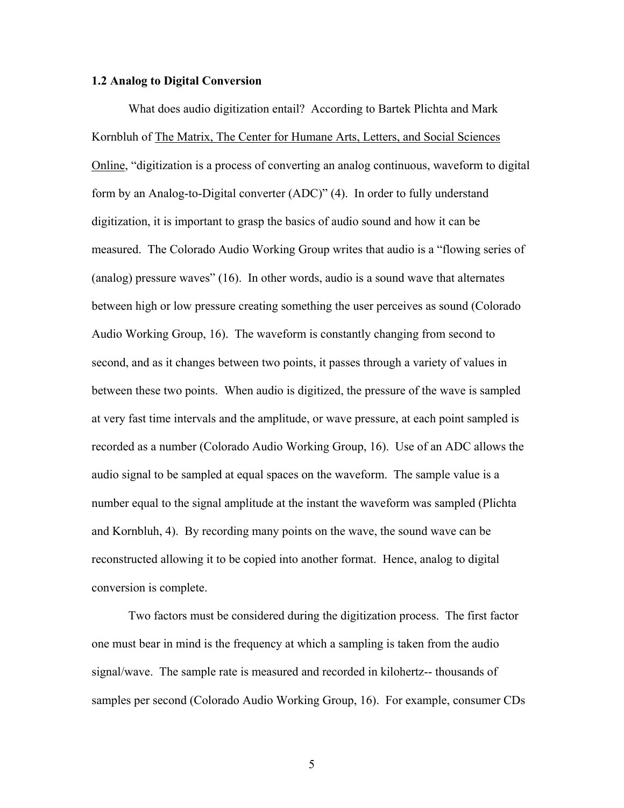#### **1.2 Analog to Digital Conversion**

What does audio digitization entail? According to Bartek Plichta and Mark Kornbluh of The Matrix, The Center for Humane Arts, Letters, and Social Sciences Online, "digitization is a process of converting an analog continuous, waveform to digital form by an Analog-to-Digital converter (ADC)" (4). In order to fully understand digitization, it is important to grasp the basics of audio sound and how it can be measured. The Colorado Audio Working Group writes that audio is a "flowing series of (analog) pressure waves" (16). In other words, audio is a sound wave that alternates between high or low pressure creating something the user perceives as sound (Colorado Audio Working Group, 16). The waveform is constantly changing from second to second, and as it changes between two points, it passes through a variety of values in between these two points. When audio is digitized, the pressure of the wave is sampled at very fast time intervals and the amplitude, or wave pressure, at each point sampled is recorded as a number (Colorado Audio Working Group, 16). Use of an ADC allows the audio signal to be sampled at equal spaces on the waveform. The sample value is a number equal to the signal amplitude at the instant the waveform was sampled (Plichta and Kornbluh, 4). By recording many points on the wave, the sound wave can be reconstructed allowing it to be copied into another format. Hence, analog to digital conversion is complete.

Two factors must be considered during the digitization process. The first factor one must bear in mind is the frequency at which a sampling is taken from the audio signal/wave. The sample rate is measured and recorded in kilohertz-- thousands of samples per second (Colorado Audio Working Group, 16). For example, consumer CDs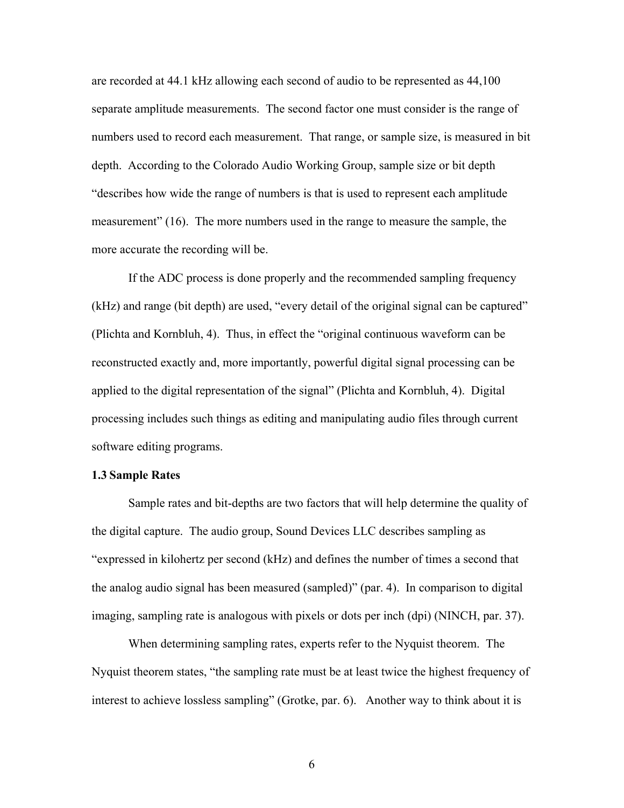are recorded at 44.1 kHz allowing each second of audio to be represented as 44,100 separate amplitude measurements. The second factor one must consider is the range of numbers used to record each measurement. That range, or sample size, is measured in bit depth. According to the Colorado Audio Working Group, sample size or bit depth "describes how wide the range of numbers is that is used to represent each amplitude measurement" (16). The more numbers used in the range to measure the sample, the more accurate the recording will be.

If the ADC process is done properly and the recommended sampling frequency (kHz) and range (bit depth) are used, "every detail of the original signal can be captured" (Plichta and Kornbluh, 4). Thus, in effect the "original continuous waveform can be reconstructed exactly and, more importantly, powerful digital signal processing can be applied to the digital representation of the signal" (Plichta and Kornbluh, 4). Digital processing includes such things as editing and manipulating audio files through current software editing programs.

#### **1.3 Sample Rates**

Sample rates and bit-depths are two factors that will help determine the quality of the digital capture. The audio group, Sound Devices LLC describes sampling as "expressed in kilohertz per second (kHz) and defines the number of times a second that the analog audio signal has been measured (sampled)" (par. 4). In comparison to digital imaging, sampling rate is analogous with pixels or dots per inch (dpi) (NINCH, par. 37).

When determining sampling rates, experts refer to the Nyquist theorem. The Nyquist theorem states, "the sampling rate must be at least twice the highest frequency of interest to achieve lossless sampling" (Grotke, par. 6). Another way to think about it is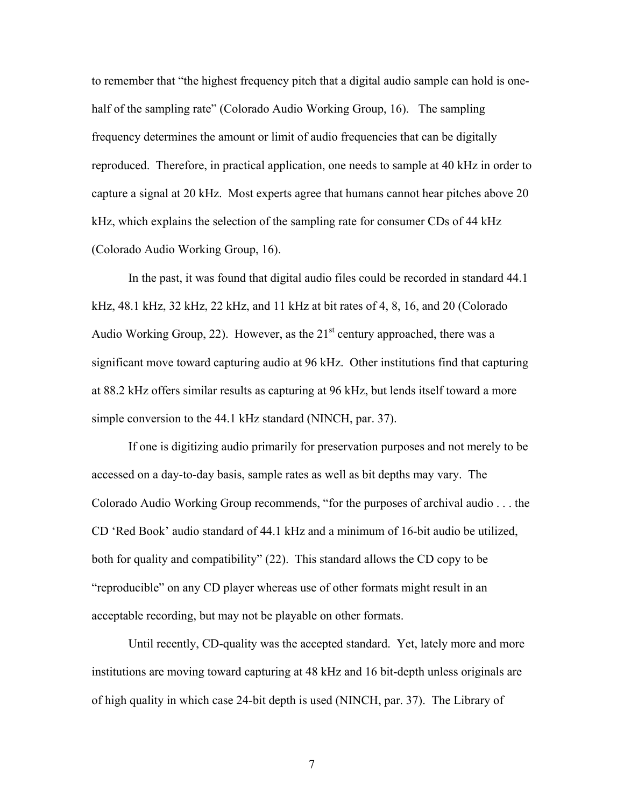to remember that "the highest frequency pitch that a digital audio sample can hold is onehalf of the sampling rate" (Colorado Audio Working Group, 16). The sampling frequency determines the amount or limit of audio frequencies that can be digitally reproduced. Therefore, in practical application, one needs to sample at 40 kHz in order to capture a signal at 20 kHz. Most experts agree that humans cannot hear pitches above 20 kHz, which explains the selection of the sampling rate for consumer CDs of 44 kHz (Colorado Audio Working Group, 16).

In the past, it was found that digital audio files could be recorded in standard 44.1 kHz, 48.1 kHz, 32 kHz, 22 kHz, and 11 kHz at bit rates of 4, 8, 16, and 20 (Colorado Audio Working Group, 22). However, as the  $21<sup>st</sup>$  century approached, there was a significant move toward capturing audio at 96 kHz. Other institutions find that capturing at 88.2 kHz offers similar results as capturing at 96 kHz, but lends itself toward a more simple conversion to the 44.1 kHz standard (NINCH, par. 37).

If one is digitizing audio primarily for preservation purposes and not merely to be accessed on a day-to-day basis, sample rates as well as bit depths may vary. The Colorado Audio Working Group recommends, "for the purposes of archival audio . . . the CD 'Red Book' audio standard of 44.1 kHz and a minimum of 16-bit audio be utilized, both for quality and compatibility" (22). This standard allows the CD copy to be "reproducible" on any CD player whereas use of other formats might result in an acceptable recording, but may not be playable on other formats.

Until recently, CD-quality was the accepted standard. Yet, lately more and more institutions are moving toward capturing at 48 kHz and 16 bit-depth unless originals are of high quality in which case 24-bit depth is used (NINCH, par. 37). The Library of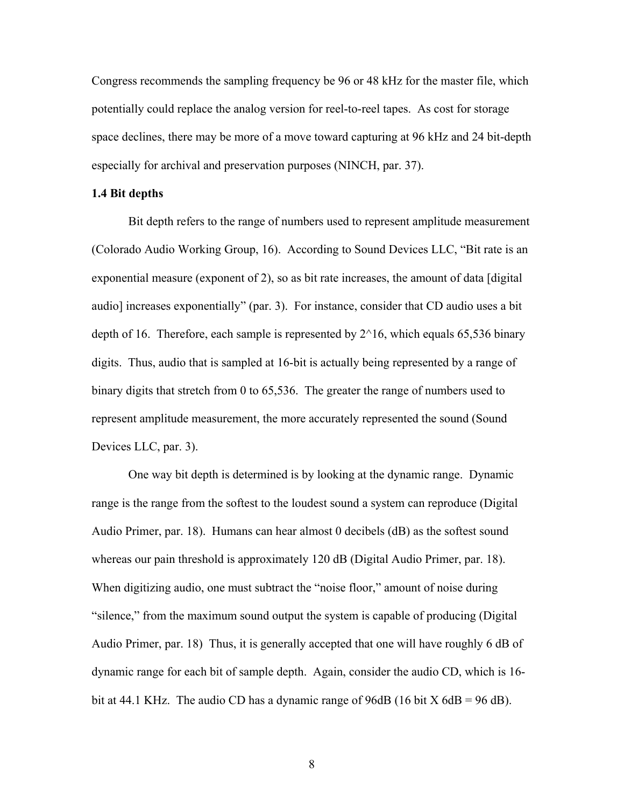Congress recommends the sampling frequency be 96 or 48 kHz for the master file, which potentially could replace the analog version for reel-to-reel tapes. As cost for storage space declines, there may be more of a move toward capturing at 96 kHz and 24 bit-depth especially for archival and preservation purposes (NINCH, par. 37).

#### **1.4 Bit depths**

Bit depth refers to the range of numbers used to represent amplitude measurement (Colorado Audio Working Group, 16). According to Sound Devices LLC, "Bit rate is an exponential measure (exponent of 2), so as bit rate increases, the amount of data [digital audio] increases exponentially" (par. 3). For instance, consider that CD audio uses a bit depth of 16. Therefore, each sample is represented by  $2^{\wedge}16$ , which equals 65,536 binary digits. Thus, audio that is sampled at 16-bit is actually being represented by a range of binary digits that stretch from 0 to 65,536. The greater the range of numbers used to represent amplitude measurement, the more accurately represented the sound (Sound Devices LLC, par. 3).

One way bit depth is determined is by looking at the dynamic range. Dynamic range is the range from the softest to the loudest sound a system can reproduce (Digital Audio Primer, par. 18). Humans can hear almost 0 decibels (dB) as the softest sound whereas our pain threshold is approximately 120 dB (Digital Audio Primer, par. 18). When digitizing audio, one must subtract the "noise floor," amount of noise during "silence," from the maximum sound output the system is capable of producing (Digital Audio Primer, par. 18) Thus, it is generally accepted that one will have roughly 6 dB of dynamic range for each bit of sample depth. Again, consider the audio CD, which is 16 bit at 44.1 KHz. The audio CD has a dynamic range of 96dB (16 bit  $X$  6dB = 96 dB).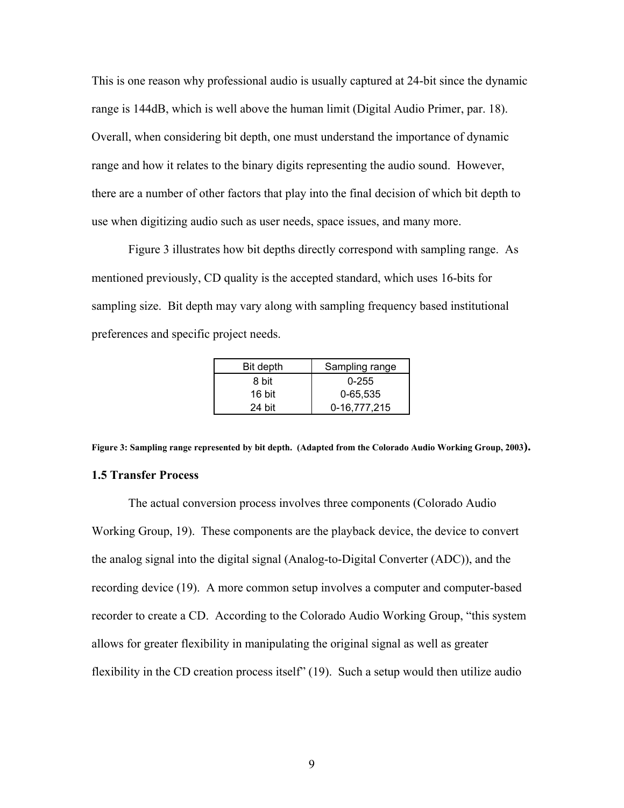This is one reason why professional audio is usually captured at 24-bit since the dynamic range is 144dB, which is well above the human limit (Digital Audio Primer, par. 18). Overall, when considering bit depth, one must understand the importance of dynamic range and how it relates to the binary digits representing the audio sound. However, there are a number of other factors that play into the final decision of which bit depth to use when digitizing audio such as user needs, space issues, and many more.

Figure 3 illustrates how bit depths directly correspond with sampling range. As mentioned previously, CD quality is the accepted standard, which uses 16-bits for sampling size. Bit depth may vary along with sampling frequency based institutional preferences and specific project needs.

| Bit depth | Sampling range |
|-----------|----------------|
| 8 bit     | $0 - 255$      |
| 16 bit    | 0-65,535       |
| $24$ bit  | 0-16.777.215   |

**Figure 3: Sampling range represented by bit depth. (Adapted from the Colorado Audio Working Group, 2003). 1.5 Transfer Process**

The actual conversion process involves three components (Colorado Audio Working Group, 19). These components are the playback device, the device to convert the analog signal into the digital signal (Analog-to-Digital Converter (ADC)), and the recording device (19). A more common setup involves a computer and computer-based recorder to create a CD. According to the Colorado Audio Working Group, "this system allows for greater flexibility in manipulating the original signal as well as greater flexibility in the CD creation process itself" (19). Such a setup would then utilize audio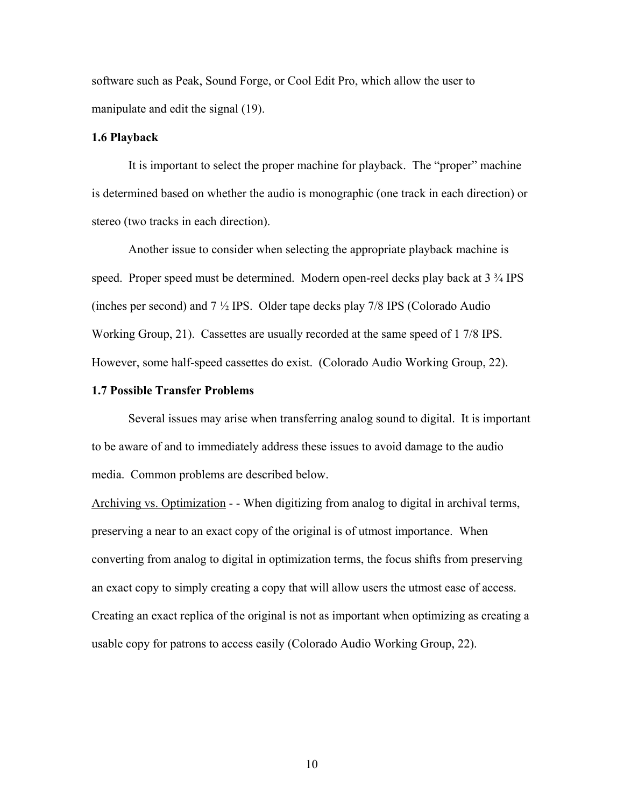software such as Peak, Sound Forge, or Cool Edit Pro, which allow the user to manipulate and edit the signal (19).

#### **1.6 Playback**

It is important to select the proper machine for playback. The "proper" machine is determined based on whether the audio is monographic (one track in each direction) or stereo (two tracks in each direction).

Another issue to consider when selecting the appropriate playback machine is speed. Proper speed must be determined. Modern open-reel decks play back at 3  $\frac{3}{4}$  IPS (inches per second) and 7 ½ IPS. Older tape decks play 7/8 IPS (Colorado Audio Working Group, 21). Cassettes are usually recorded at the same speed of 1 7/8 IPS. However, some half-speed cassettes do exist. (Colorado Audio Working Group, 22).

#### **1.7 Possible Transfer Problems**

Several issues may arise when transferring analog sound to digital. It is important to be aware of and to immediately address these issues to avoid damage to the audio media. Common problems are described below.

Archiving vs. Optimization - - When digitizing from analog to digital in archival terms, preserving a near to an exact copy of the original is of utmost importance. When converting from analog to digital in optimization terms, the focus shifts from preserving an exact copy to simply creating a copy that will allow users the utmost ease of access. Creating an exact replica of the original is not as important when optimizing as creating a usable copy for patrons to access easily (Colorado Audio Working Group, 22).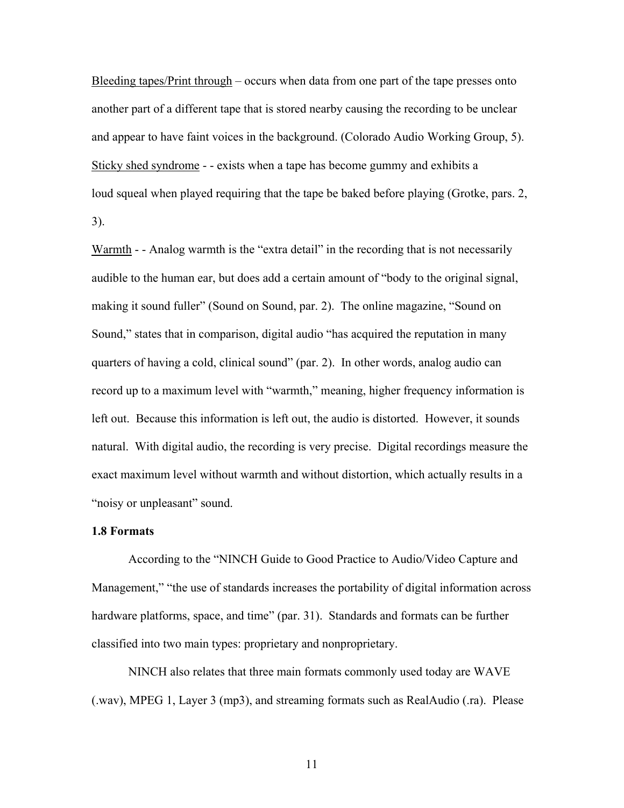Bleeding tapes/Print through – occurs when data from one part of the tape presses onto another part of a different tape that is stored nearby causing the recording to be unclear and appear to have faint voices in the background. (Colorado Audio Working Group, 5). Sticky shed syndrome - - exists when a tape has become gummy and exhibits a loud squeal when played requiring that the tape be baked before playing (Grotke, pars. 2, 3).

Warmth - - Analog warmth is the "extra detail" in the recording that is not necessarily audible to the human ear, but does add a certain amount of "body to the original signal, making it sound fuller" (Sound on Sound, par. 2). The online magazine, "Sound on Sound," states that in comparison, digital audio "has acquired the reputation in many quarters of having a cold, clinical sound" (par. 2). In other words, analog audio can record up to a maximum level with "warmth," meaning, higher frequency information is left out. Because this information is left out, the audio is distorted. However, it sounds natural. With digital audio, the recording is very precise. Digital recordings measure the exact maximum level without warmth and without distortion, which actually results in a "noisy or unpleasant" sound.

#### **1.8 Formats**

According to the "NINCH Guide to Good Practice to Audio/Video Capture and Management," "the use of standards increases the portability of digital information across hardware platforms, space, and time" (par. 31). Standards and formats can be further classified into two main types: proprietary and nonproprietary.

NINCH also relates that three main formats commonly used today are WAVE (.wav), MPEG 1, Layer 3 (mp3), and streaming formats such as RealAudio (.ra). Please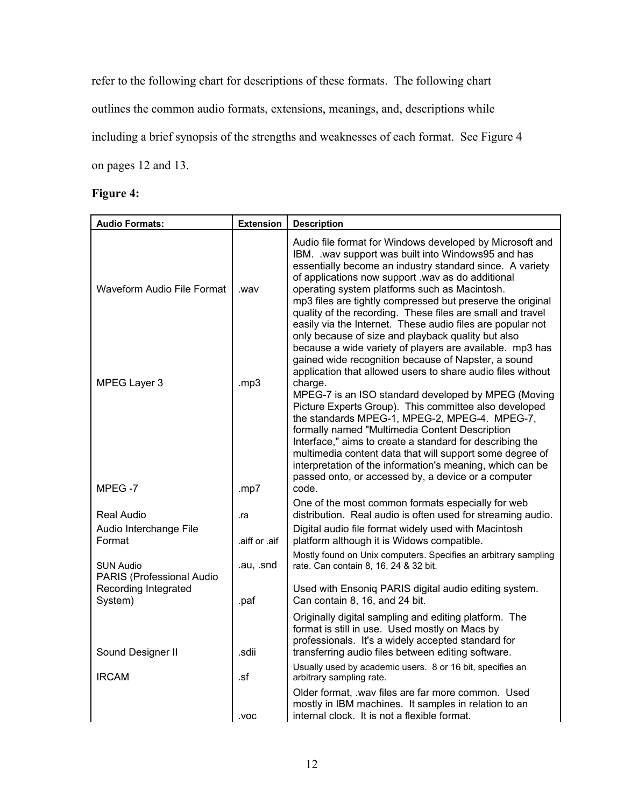refer to the following chart for descriptions of these formats. The following chart outlines the common audio formats, extensions, meanings, and, descriptions while including a brief synopsis of the strengths and weaknesses of each format. See Figure 4 on pages 12 and 13.

# **Figure 4:**

| <b>Audio Formats:</b>                         | <b>Extension</b> | <b>Description</b>                                                                                                                                                                                                                                                                                                                                                                                                                                                                                                                                                                                                                                                                                                  |
|-----------------------------------------------|------------------|---------------------------------------------------------------------------------------------------------------------------------------------------------------------------------------------------------------------------------------------------------------------------------------------------------------------------------------------------------------------------------------------------------------------------------------------------------------------------------------------------------------------------------------------------------------------------------------------------------------------------------------------------------------------------------------------------------------------|
| Waveform Audio File Format                    | .wav             | Audio file format for Windows developed by Microsoft and<br>IBM. . wav support was built into Windows95 and has<br>essentially become an industry standard since. A variety<br>of applications now support .wav as do additional<br>operating system platforms such as Macintosh.<br>mp3 files are tightly compressed but preserve the original<br>quality of the recording. These files are small and travel<br>easily via the Internet. These audio files are popular not<br>only because of size and playback quality but also<br>because a wide variety of players are available. mp3 has<br>gained wide recognition because of Napster, a sound<br>application that allowed users to share audio files without |
| MPEG Layer 3<br>MPEG-7                        | mp3<br>.mp7      | charge.<br>MPEG-7 is an ISO standard developed by MPEG (Moving<br>Picture Experts Group). This committee also developed<br>the standards MPEG-1, MPEG-2, MPEG-4. MPEG-7,<br>formally named "Multimedia Content Description<br>Interface," aims to create a standard for describing the<br>multimedia content data that will support some degree of<br>interpretation of the information's meaning, which can be<br>passed onto, or accessed by, a device or a computer<br>code.                                                                                                                                                                                                                                     |
| <b>Real Audio</b>                             | .ra              | One of the most common formats especially for web<br>distribution. Real audio is often used for streaming audio.                                                                                                                                                                                                                                                                                                                                                                                                                                                                                                                                                                                                    |
| Audio Interchange File<br>Format              | .aiff or .aif    | Digital audio file format widely used with Macintosh<br>platform although it is Widows compatible.                                                                                                                                                                                                                                                                                                                                                                                                                                                                                                                                                                                                                  |
| <b>SUN Audio</b><br>PARIS (Professional Audio | .au, .snd        | Mostly found on Unix computers. Specifies an arbitrary sampling<br>rate. Can contain 8, 16, 24 & 32 bit.                                                                                                                                                                                                                                                                                                                                                                                                                                                                                                                                                                                                            |
| Recording Integrated<br>System)               | .paf             | Used with Ensoniq PARIS digital audio editing system.<br>Can contain 8, 16, and 24 bit.                                                                                                                                                                                                                                                                                                                                                                                                                                                                                                                                                                                                                             |
| Sound Designer II<br><b>IRCAM</b>             | .sdii<br>.sf     | Originally digital sampling and editing platform. The<br>format is still in use. Used mostly on Macs by<br>professionals. It's a widely accepted standard for<br>transferring audio files between editing software.<br>Usually used by academic users. 8 or 16 bit, specifies an<br>arbitrary sampling rate.                                                                                                                                                                                                                                                                                                                                                                                                        |
|                                               | .voc             | Older format, .wav files are far more common. Used<br>mostly in IBM machines. It samples in relation to an<br>internal clock. It is not a flexible format.                                                                                                                                                                                                                                                                                                                                                                                                                                                                                                                                                          |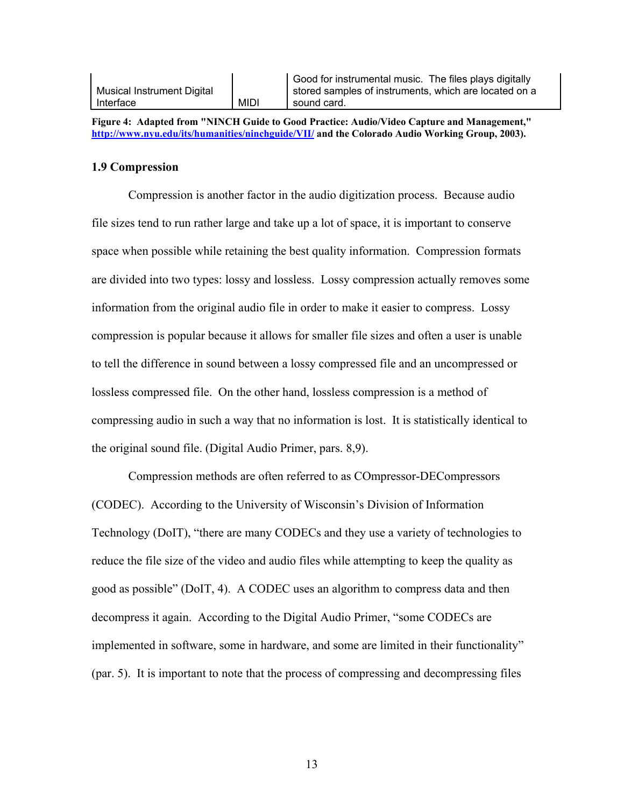|                            |             | Good for instrumental music. The files plays digitally |
|----------------------------|-------------|--------------------------------------------------------|
| Musical Instrument Digital |             | stored samples of instruments, which are located on a  |
| Interface                  | <b>MIDI</b> | sound card.                                            |

**Figure 4: Adapted from "NINCH Guide to Good Practice: Audio/Video Capture and Management," <http://www.nyu.edu/its/humanities/ninchguide/VII/> and the Colorado Audio Working Group, 2003).** 

#### **1.9 Compression**

Compression is another factor in the audio digitization process. Because audio file sizes tend to run rather large and take up a lot of space, it is important to conserve space when possible while retaining the best quality information. Compression formats are divided into two types: lossy and lossless. Lossy compression actually removes some information from the original audio file in order to make it easier to compress. Lossy compression is popular because it allows for smaller file sizes and often a user is unable to tell the difference in sound between a lossy compressed file and an uncompressed or lossless compressed file. On the other hand, lossless compression is a method of compressing audio in such a way that no information is lost. It is statistically identical to the original sound file. (Digital Audio Primer, pars. 8,9).

Compression methods are often referred to as COmpressor-DECompressors (CODEC). According to the University of Wisconsin's Division of Information Technology (DoIT), "there are many CODECs and they use a variety of technologies to reduce the file size of the video and audio files while attempting to keep the quality as good as possible" (DoIT, 4). A CODEC uses an algorithm to compress data and then decompress it again. According to the Digital Audio Primer, "some CODECs are implemented in software, some in hardware, and some are limited in their functionality" (par. 5). It is important to note that the process of compressing and decompressing files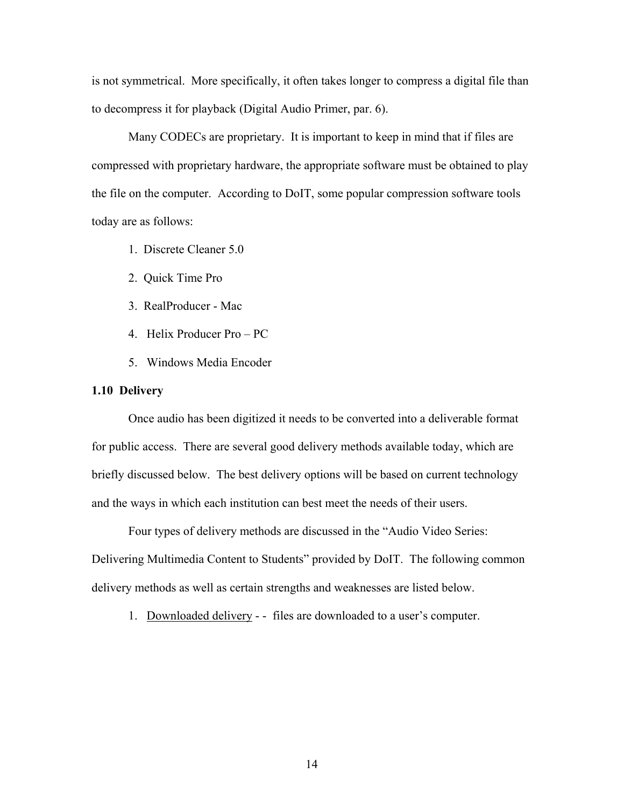is not symmetrical. More specifically, it often takes longer to compress a digital file than to decompress it for playback (Digital Audio Primer, par. 6).

Many CODECs are proprietary. It is important to keep in mind that if files are compressed with proprietary hardware, the appropriate software must be obtained to play the file on the computer. According to DoIT, some popular compression software tools today are as follows:

- 1. Discrete Cleaner 5.0
- 2. Quick Time Pro
- 3. RealProducer Mac
- 4. Helix Producer Pro PC
- 5. Windows Media Encoder

#### **1.10 Delivery**

Once audio has been digitized it needs to be converted into a deliverable format for public access. There are several good delivery methods available today, which are briefly discussed below. The best delivery options will be based on current technology and the ways in which each institution can best meet the needs of their users.

Four types of delivery methods are discussed in the "Audio Video Series: Delivering Multimedia Content to Students" provided by DoIT. The following common delivery methods as well as certain strengths and weaknesses are listed below.

1. Downloaded delivery - - files are downloaded to a user's computer.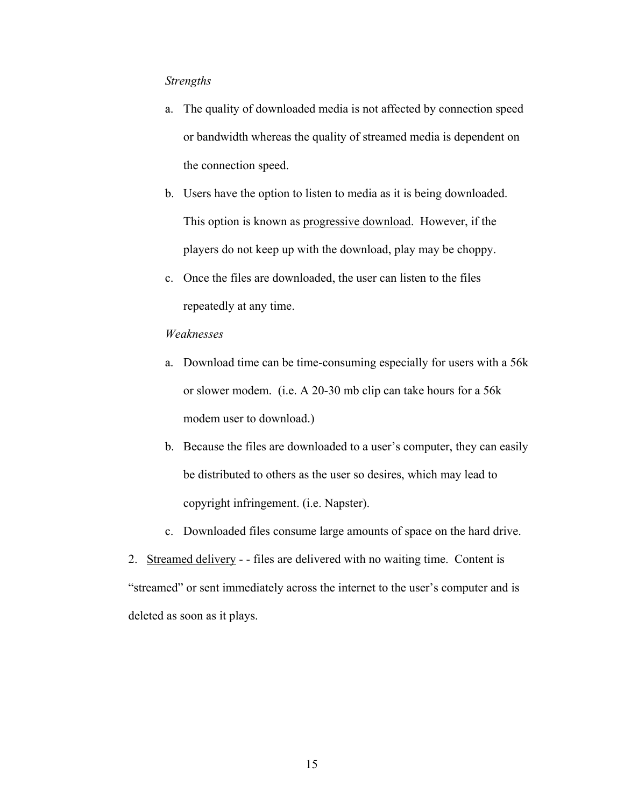#### *Strengths*

- a. The quality of downloaded media is not affected by connection speed or bandwidth whereas the quality of streamed media is dependent on the connection speed.
- b. Users have the option to listen to media as it is being downloaded. This option is known as progressive download. However, if the players do not keep up with the download, play may be choppy.
- c. Once the files are downloaded, the user can listen to the files repeatedly at any time.

### *Weaknesses*

- a. Download time can be time-consuming especially for users with a 56k or slower modem. (i.e. A 20-30 mb clip can take hours for a 56k modem user to download.)
- b. Because the files are downloaded to a user's computer, they can easily be distributed to others as the user so desires, which may lead to copyright infringement. (i.e. Napster).
- c. Downloaded files consume large amounts of space on the hard drive.

2. Streamed delivery - - files are delivered with no waiting time. Content is "streamed" or sent immediately across the internet to the user's computer and is deleted as soon as it plays.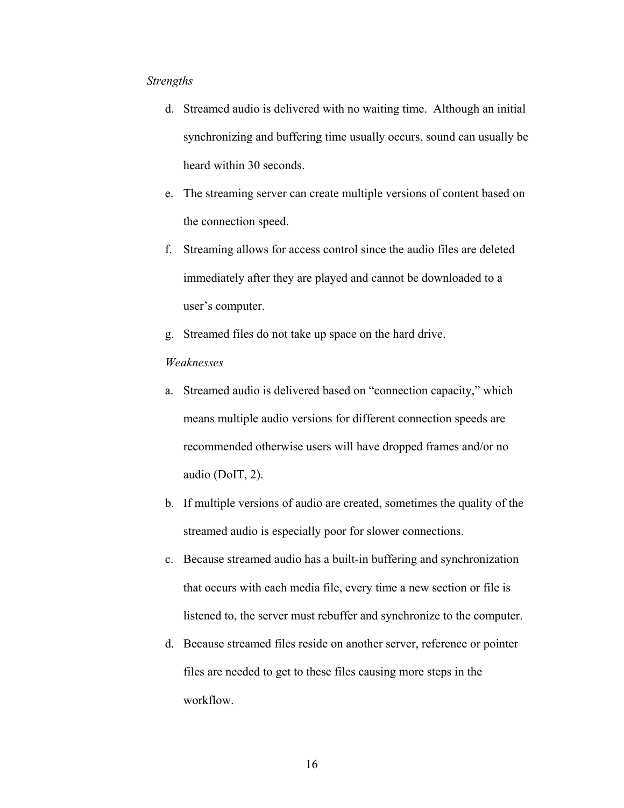#### *Strengths*

- d. Streamed audio is delivered with no waiting time. Although an initial synchronizing and buffering time usually occurs, sound can usually be heard within 30 seconds.
- e. The streaming server can create multiple versions of content based on the connection speed.
- f. Streaming allows for access control since the audio files are deleted immediately after they are played and cannot be downloaded to a user's computer.
- g. Streamed files do not take up space on the hard drive.

#### *Weaknesses*

- a. Streamed audio is delivered based on "connection capacity," which means multiple audio versions for different connection speeds are recommended otherwise users will have dropped frames and/or no audio (DoIT, 2).
- b. If multiple versions of audio are created, sometimes the quality of the streamed audio is especially poor for slower connections.
- c. Because streamed audio has a built-in buffering and synchronization that occurs with each media file, every time a new section or file is listened to, the server must rebuffer and synchronize to the computer.
- d. Because streamed files reside on another server, reference or pointer files are needed to get to these files causing more steps in the workflow.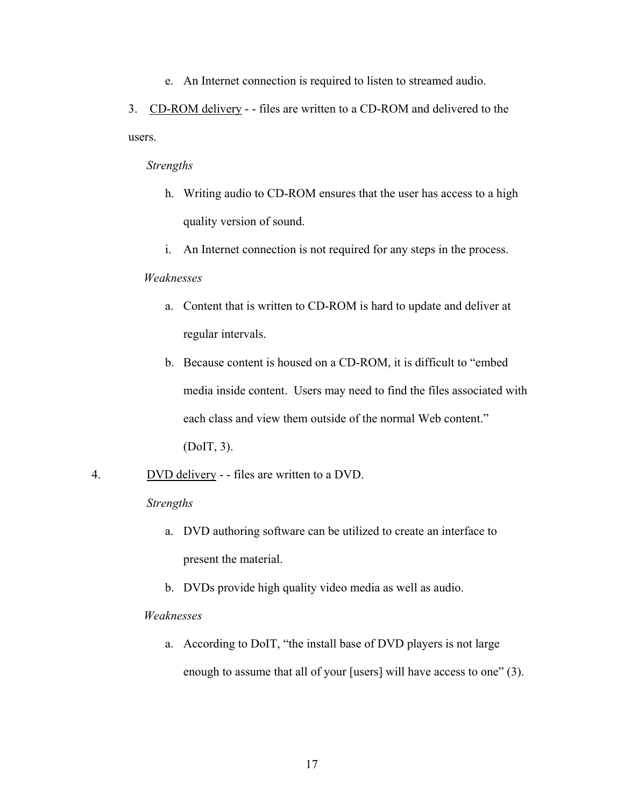e. An Internet connection is required to listen to streamed audio.

3. CD-ROM delivery - - files are written to a CD-ROM and delivered to the users.

#### *Strengths*

- h. Writing audio to CD-ROM ensures that the user has access to a high quality version of sound.
- i. An Internet connection is not required for any steps in the process.

#### *Weaknesses*

- a. Content that is written to CD-ROM is hard to update and deliver at regular intervals.
- b. Because content is housed on a CD-ROM, it is difficult to "embed media inside content. Users may need to find the files associated with each class and view them outside of the normal Web content." (DoIT, 3).
- 4. DVD delivery - files are written to a DVD.

#### *Strengths*

- a. DVD authoring software can be utilized to create an interface to present the material.
- b. DVDs provide high quality video media as well as audio.

#### *Weaknesses*

a. According to DoIT, "the install base of DVD players is not large enough to assume that all of your [users] will have access to one" (3).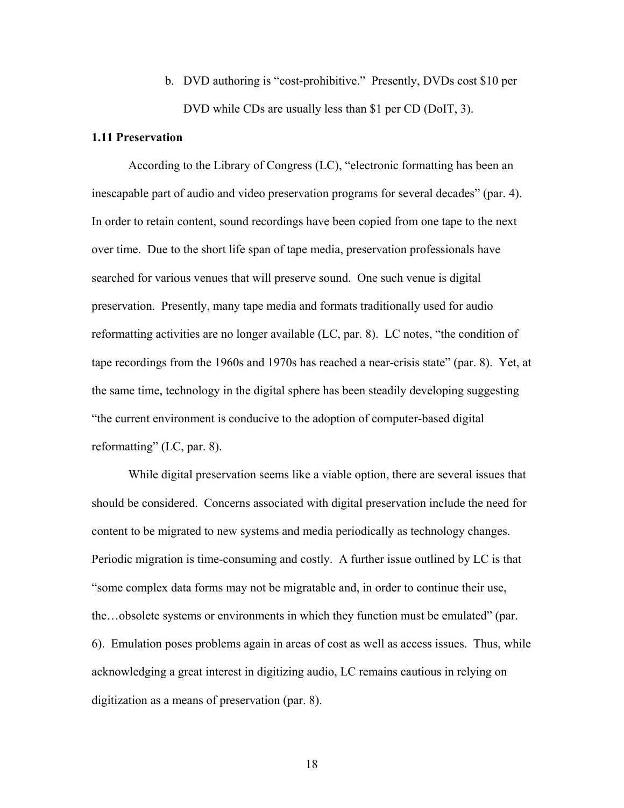b. DVD authoring is "cost-prohibitive." Presently, DVDs cost \$10 per DVD while CDs are usually less than \$1 per CD (DoIT, 3).

#### **1.11 Preservation**

According to the Library of Congress (LC), "electronic formatting has been an inescapable part of audio and video preservation programs for several decades" (par. 4). In order to retain content, sound recordings have been copied from one tape to the next over time. Due to the short life span of tape media, preservation professionals have searched for various venues that will preserve sound. One such venue is digital preservation. Presently, many tape media and formats traditionally used for audio reformatting activities are no longer available (LC, par. 8). LC notes, "the condition of tape recordings from the 1960s and 1970s has reached a near-crisis state" (par. 8). Yet, at the same time, technology in the digital sphere has been steadily developing suggesting "the current environment is conducive to the adoption of computer-based digital reformatting" (LC, par. 8).

While digital preservation seems like a viable option, there are several issues that should be considered. Concerns associated with digital preservation include the need for content to be migrated to new systems and media periodically as technology changes. Periodic migration is time-consuming and costly. A further issue outlined by LC is that "some complex data forms may not be migratable and, in order to continue their use, the…obsolete systems or environments in which they function must be emulated" (par. 6). Emulation poses problems again in areas of cost as well as access issues. Thus, while acknowledging a great interest in digitizing audio, LC remains cautious in relying on digitization as a means of preservation (par. 8).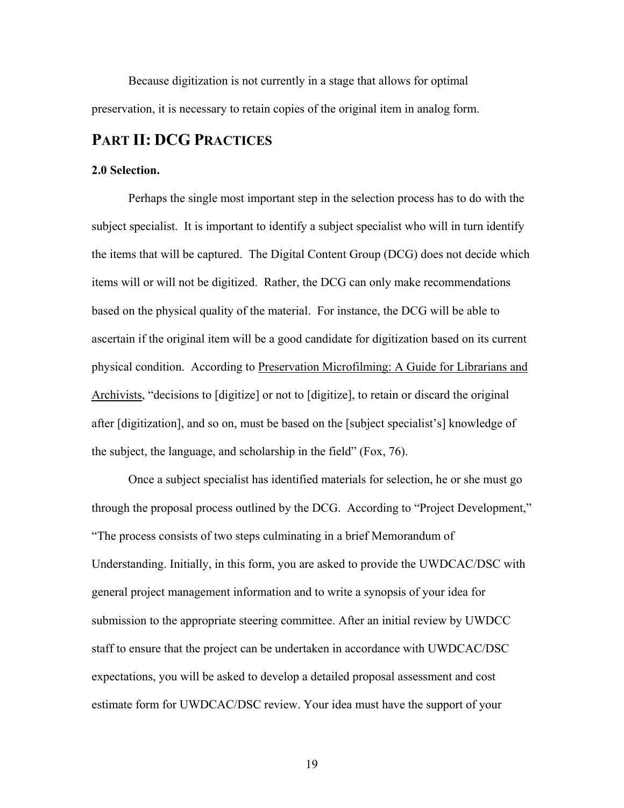Because digitization is not currently in a stage that allows for optimal preservation, it is necessary to retain copies of the original item in analog form.

# **PART II: DCG PRACTICES**

#### **2.0 Selection.**

Perhaps the single most important step in the selection process has to do with the subject specialist. It is important to identify a subject specialist who will in turn identify the items that will be captured. The Digital Content Group (DCG) does not decide which items will or will not be digitized. Rather, the DCG can only make recommendations based on the physical quality of the material. For instance, the DCG will be able to ascertain if the original item will be a good candidate for digitization based on its current physical condition. According to Preservation Microfilming: A Guide for Librarians and Archivists, "decisions to [digitize] or not to [digitize], to retain or discard the original after [digitization], and so on, must be based on the [subject specialist's] knowledge of the subject, the language, and scholarship in the field" (Fox, 76).

Once a subject specialist has identified materials for selection, he or she must go through the proposal process outlined by the DCG. According to "Project Development," "The process consists of two steps culminating in a brief Memorandum of Understanding. Initially, in this form, you are asked to provide the UWDCAC/DSC with general project management information and to write a synopsis of your idea for submission to the appropriate steering committee. After an initial review by UWDCC staff to ensure that the project can be undertaken in accordance with UWDCAC/DSC expectations, you will be asked to develop a detailed proposal assessment and cost estimate form for UWDCAC/DSC review. Your idea must have the support of your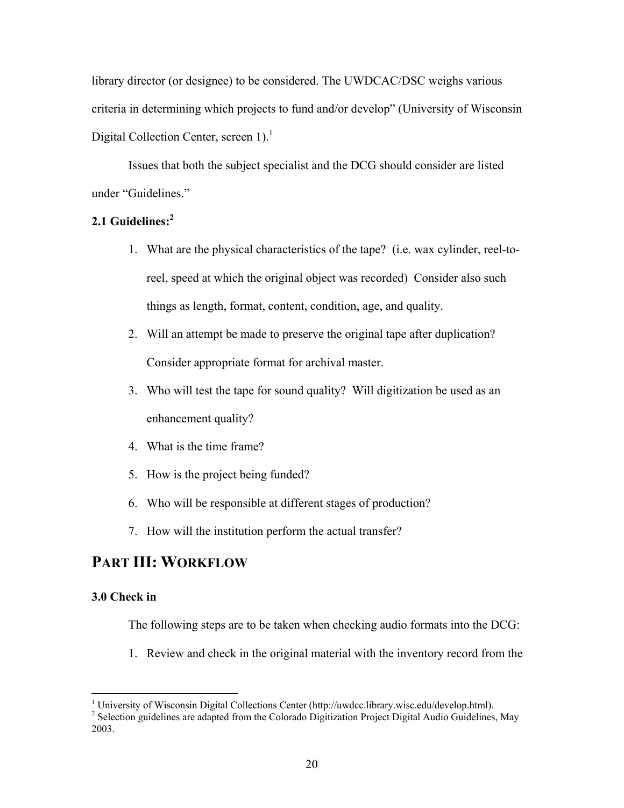library director (or designee) to be considered. The UWDCAC/DSC weighs various criteria in determining which projects to fund and/or develop" (University of Wisconsin Digital Collection Center, screen  $1$ ).<sup>1</sup>

Issues that both the subject specialist and the DCG should consider are listed under "Guidelines."

#### **2.1 Guidelines:[2](#page-19-1)**

- 1. What are the physical characteristics of the tape? (i.e. wax cylinder, reel-toreel, speed at which the original object was recorded) Consider also such things as length, format, content, condition, age, and quality.
- 2. Will an attempt be made to preserve the original tape after duplication? Consider appropriate format for archival master.
- 3. Who will test the tape for sound quality? Will digitization be used as an enhancement quality?
- 4. What is the time frame?
- 5. How is the project being funded?
- 6. Who will be responsible at different stages of production?
- 7. How will the institution perform the actual transfer?

# **PART III: WORKFLOW**

#### **3.0 Check in**

The following steps are to be taken when checking audio formats into the DCG:

1. Review and check in the original material with the inventory record from the

 $\overline{a}$ <sup>1</sup> University of Wisconsin Digital Collections Center (http://uwdcc.library.wisc.edu/develop.html).  $\frac{2}{5}$  Solection mudelines are adented from the Colectede Digitation Project Digital Audio Guidelines

<span id="page-19-1"></span><span id="page-19-0"></span><sup>&</sup>lt;sup>2</sup> Selection guidelines are adapted from the Colorado Digitization Project Digital Audio Guidelines, May 2003.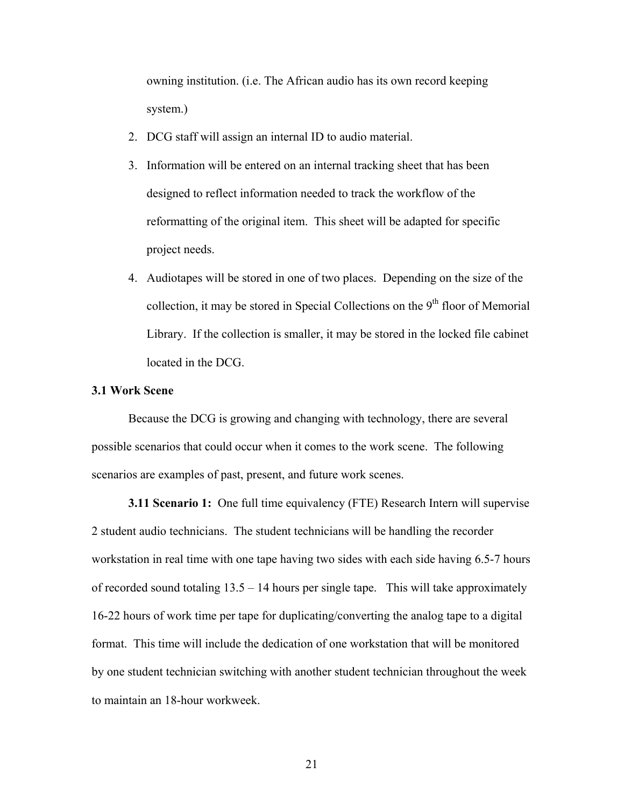owning institution. (i.e. The African audio has its own record keeping system.)

- 2. DCG staff will assign an internal ID to audio material.
- 3. Information will be entered on an internal tracking sheet that has been designed to reflect information needed to track the workflow of the reformatting of the original item. This sheet will be adapted for specific project needs.
- 4. Audiotapes will be stored in one of two places. Depending on the size of the collection, it may be stored in Special Collections on the  $9<sup>th</sup>$  floor of Memorial Library. If the collection is smaller, it may be stored in the locked file cabinet located in the DCG.

#### **3.1 Work Scene**

Because the DCG is growing and changing with technology, there are several possible scenarios that could occur when it comes to the work scene. The following scenarios are examples of past, present, and future work scenes.

**3.11 Scenario 1:** One full time equivalency (FTE) Research Intern will supervise 2 student audio technicians. The student technicians will be handling the recorder workstation in real time with one tape having two sides with each side having 6.5-7 hours of recorded sound totaling  $13.5 - 14$  hours per single tape. This will take approximately 16-22 hours of work time per tape for duplicating/converting the analog tape to a digital format. This time will include the dedication of one workstation that will be monitored by one student technician switching with another student technician throughout the week to maintain an 18-hour workweek.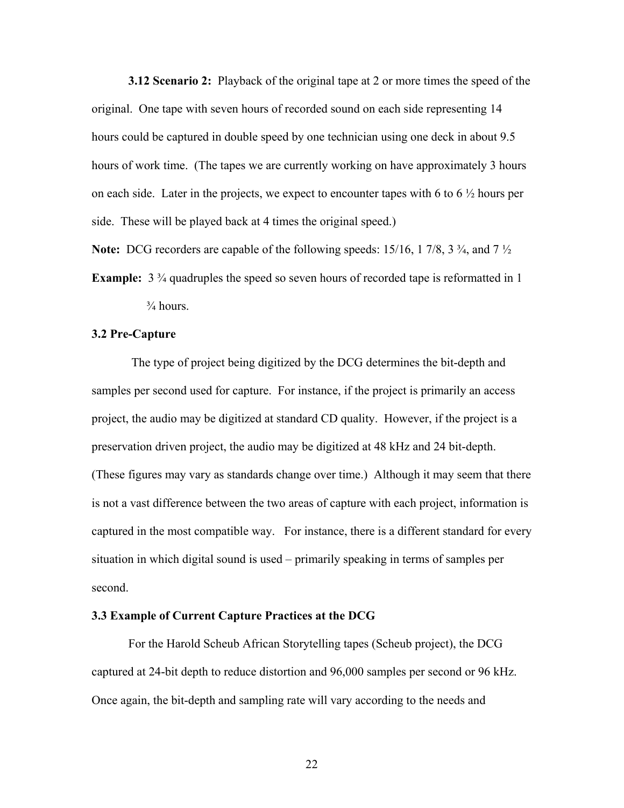**3.12 Scenario 2:** Playback of the original tape at 2 or more times the speed of the original. One tape with seven hours of recorded sound on each side representing 14 hours could be captured in double speed by one technician using one deck in about 9.5 hours of work time. (The tapes we are currently working on have approximately 3 hours on each side. Later in the projects, we expect to encounter tapes with 6 to 6  $\frac{1}{2}$  hours per side. These will be played back at 4 times the original speed.)

**Note:** DCG recorders are capable of the following speeds: 15/16, 1 7/8, 3 ¾, and 7 ½

**Example:**  $3\frac{3}{4}$  quadruples the speed so seven hours of recorded tape is reformatted in 1  $\frac{3}{4}$  hours.

#### **3.2 Pre-Capture**

 The type of project being digitized by the DCG determines the bit-depth and samples per second used for capture. For instance, if the project is primarily an access project, the audio may be digitized at standard CD quality. However, if the project is a preservation driven project, the audio may be digitized at 48 kHz and 24 bit-depth. (These figures may vary as standards change over time.) Although it may seem that there is not a vast difference between the two areas of capture with each project, information is captured in the most compatible way. For instance, there is a different standard for every situation in which digital sound is used – primarily speaking in terms of samples per second.

#### **3.3 Example of Current Capture Practices at the DCG**

For the Harold Scheub African Storytelling tapes (Scheub project), the DCG captured at 24-bit depth to reduce distortion and 96,000 samples per second or 96 kHz. Once again, the bit-depth and sampling rate will vary according to the needs and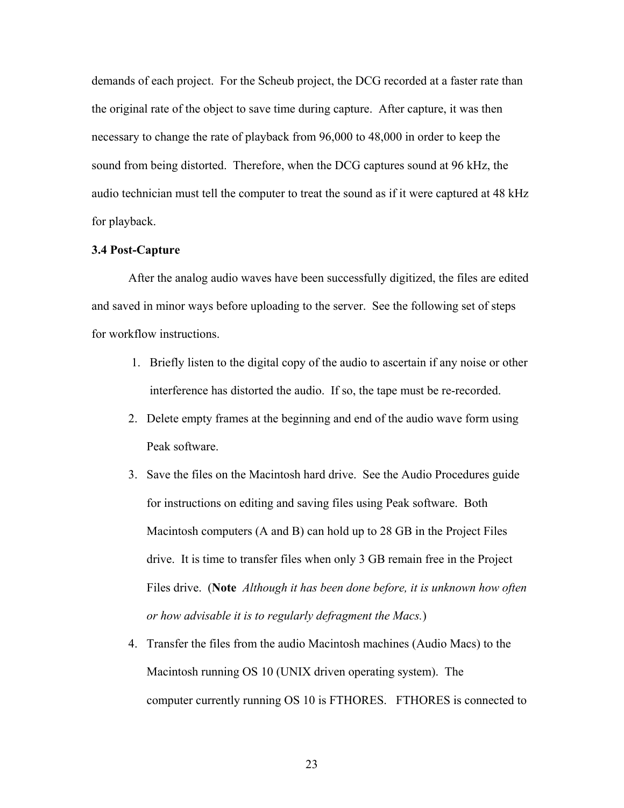demands of each project. For the Scheub project, the DCG recorded at a faster rate than the original rate of the object to save time during capture. After capture, it was then necessary to change the rate of playback from 96,000 to 48,000 in order to keep the sound from being distorted. Therefore, when the DCG captures sound at 96 kHz, the audio technician must tell the computer to treat the sound as if it were captured at 48 kHz for playback.

#### **3.4 Post-Capture**

After the analog audio waves have been successfully digitized, the files are edited and saved in minor ways before uploading to the server. See the following set of steps for workflow instructions.

- 1. Briefly listen to the digital copy of the audio to ascertain if any noise or other interference has distorted the audio. If so, the tape must be re-recorded.
- 2. Delete empty frames at the beginning and end of the audio wave form using Peak software.
- 3. Save the files on the Macintosh hard drive. See the Audio Procedures guide for instructions on editing and saving files using Peak software. Both Macintosh computers (A and B) can hold up to 28 GB in the Project Files drive. It is time to transfer files when only 3 GB remain free in the Project Files drive. (**Note** *Although it has been done before, it is unknown how often or how advisable it is to regularly defragment the Macs.*)
- 4. Transfer the files from the audio Macintosh machines (Audio Macs) to the Macintosh running OS 10 (UNIX driven operating system). The computer currently running OS 10 is FTHORES. FTHORES is connected to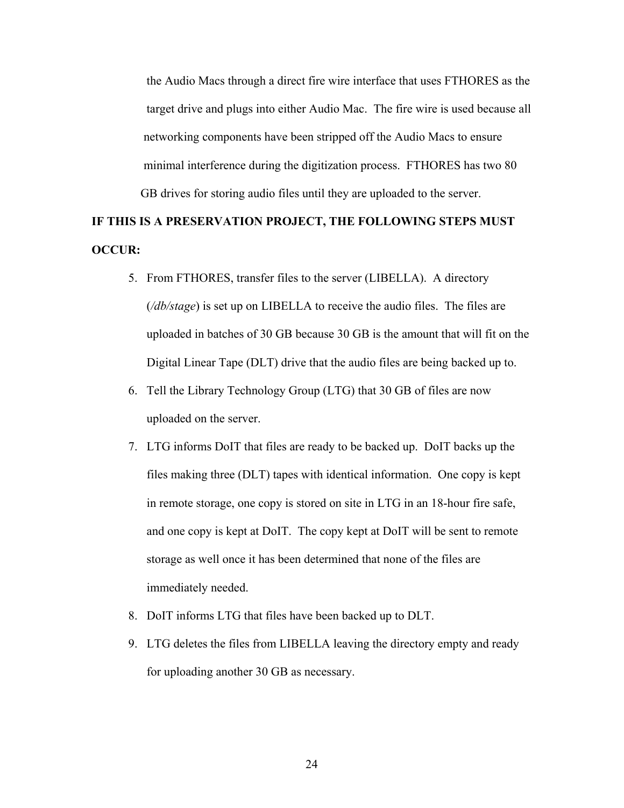the Audio Macs through a direct fire wire interface that uses FTHORES as the target drive and plugs into either Audio Mac. The fire wire is used because all networking components have been stripped off the Audio Macs to ensure minimal interference during the digitization process. FTHORES has two 80 GB drives for storing audio files until they are uploaded to the server.

# **IF THIS IS A PRESERVATION PROJECT, THE FOLLOWING STEPS MUST OCCUR:**

- 5. From FTHORES, transfer files to the server (LIBELLA). A directory (*/db/stage*) is set up on LIBELLA to receive the audio files. The files are uploaded in batches of 30 GB because 30 GB is the amount that will fit on the Digital Linear Tape (DLT) drive that the audio files are being backed up to.
- 6. Tell the Library Technology Group (LTG) that 30 GB of files are now uploaded on the server.
- 7. LTG informs DoIT that files are ready to be backed up. DoIT backs up the files making three (DLT) tapes with identical information. One copy is kept in remote storage, one copy is stored on site in LTG in an 18-hour fire safe, and one copy is kept at DoIT. The copy kept at DoIT will be sent to remote storage as well once it has been determined that none of the files are immediately needed.
- 8. DoIT informs LTG that files have been backed up to DLT.
- 9. LTG deletes the files from LIBELLA leaving the directory empty and ready for uploading another 30 GB as necessary.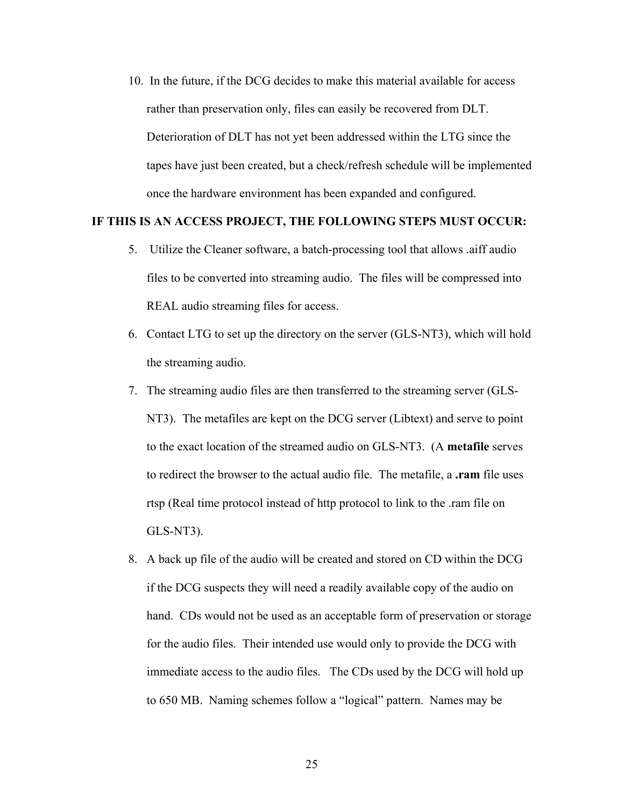10. In the future, if the DCG decides to make this material available for access rather than preservation only, files can easily be recovered from DLT. Deterioration of DLT has not yet been addressed within the LTG since the tapes have just been created, but a check/refresh schedule will be implemented once the hardware environment has been expanded and configured.

#### **IF THIS IS AN ACCESS PROJECT, THE FOLLOWING STEPS MUST OCCUR:**

- 5. Utilize the Cleaner software, a batch-processing tool that allows .aiff audio files to be converted into streaming audio. The files will be compressed into REAL audio streaming files for access.
- 6. Contact LTG to set up the directory on the server (GLS-NT3), which will hold the streaming audio.
- 7. The streaming audio files are then transferred to the streaming server (GLS- NT3). The metafiles are kept on the DCG server (Libtext) and serve to point to the exact location of the streamed audio on GLS-NT3. (A **metafile** serves to redirect the browser to the actual audio file. The metafile, a **.ram** file uses rtsp (Real time protocol instead of http protocol to link to the .ram file on GLS-NT3).
- 8. A back up file of the audio will be created and stored on CD within the DCG if the DCG suspects they will need a readily available copy of the audio on hand. CDs would not be used as an acceptable form of preservation or storage for the audio files. Their intended use would only to provide the DCG with immediate access to the audio files. The CDs used by the DCG will hold up to 650 MB. Naming schemes follow a "logical" pattern. Names may be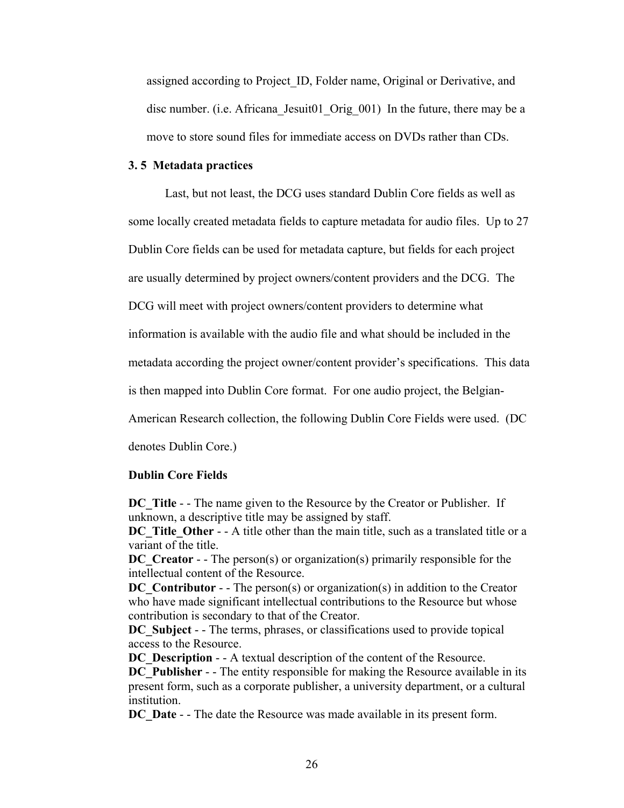assigned according to Project ID, Folder name, Original or Derivative, and disc number. (i.e. Africana Jesuit01 Orig 001) In the future, there may be a move to store sound files for immediate access on DVDs rather than CDs.

#### **3. 5 Metadata practices**

Last, but not least, the DCG uses standard Dublin Core fields as well as some locally created metadata fields to capture metadata for audio files. Up to 27 Dublin Core fields can be used for metadata capture, but fields for each project are usually determined by project owners/content providers and the DCG. The DCG will meet with project owners/content providers to determine what

information is available with the audio file and what should be included in the

metadata according the project owner/content provider's specifications. This data

is then mapped into Dublin Core format. For one audio project, the Belgian-

American Research collection, the following Dublin Core Fields were used. (DC

denotes Dublin Core.)

#### **Dublin Core Fields**

**DC** Title - - The name given to the Resource by the Creator or Publisher. If unknown, a descriptive title may be assigned by staff.

**DC** Title Other - - A title other than the main title, such as a translated title or a variant of the title.

**DC** Creator - - The person(s) or organization(s) primarily responsible for the intellectual content of the Resource.

**DC** Contributor - - The person(s) or organization(s) in addition to the Creator who have made significant intellectual contributions to the Resource but whose contribution is secondary to that of the Creator.

**DC** Subject - - The terms, phrases, or classifications used to provide topical access to the Resource.

**DC** Description - - A textual description of the content of the Resource.

**DC** Publisher - - The entity responsible for making the Resource available in its present form, such as a corporate publisher, a university department, or a cultural institution.

**DC** Date - - The date the Resource was made available in its present form.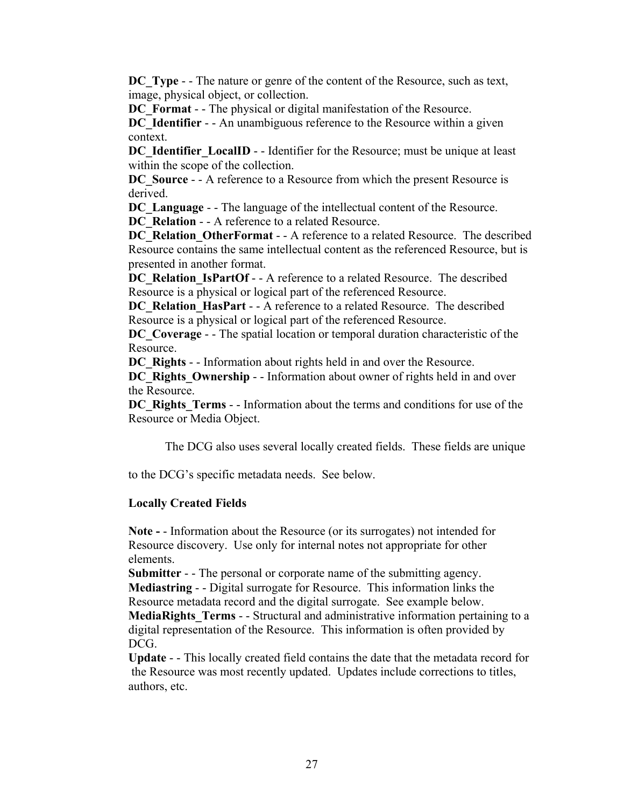**DC** Type - - The nature or genre of the content of the Resource, such as text, image, physical object, or collection.

**DC** Format - - The physical or digital manifestation of the Resource.

**DC** Identifier - - An unambiguous reference to the Resource within a given context.

**DC** Identifier LocalID - - Identifier for the Resource; must be unique at least within the scope of the collection.

**DC** Source - - A reference to a Resource from which the present Resource is derived.

**DC** Language - - The language of the intellectual content of the Resource.

**DC\_Relation - - A reference to a related Resource.** 

**DC\_Relation\_OtherFormat** - - A reference to a related Resource. The described Resource contains the same intellectual content as the referenced Resource, but is presented in another format.

**DC\_Relation\_IsPartOf** - - A reference to a related Resource. The described Resource is a physical or logical part of the referenced Resource.

**DC\_Relation\_HasPart** - - A reference to a related Resource. The described Resource is a physical or logical part of the referenced Resource.

**DC** Coverage - - The spatial location or temporal duration characteristic of the Resource.

**DC\_Rights** - - Information about rights held in and over the Resource.

**DC\_Rights\_Ownership** - - Information about owner of rights held in and over the Resource.

**DC\_Rights\_Terms** - - Information about the terms and conditions for use of the Resource or Media Object.

The DCG also uses several locally created fields. These fields are unique

to the DCG's specific metadata needs. See below.

#### **Locally Created Fields**

**Note -** - Information about the Resource (or its surrogates) not intended for Resource discovery. Use only for internal notes not appropriate for other elements.

**Submitter** - - The personal or corporate name of the submitting agency. **Mediastring** - - Digital surrogate for Resource. This information links the Resource metadata record and the digital surrogate. See example below.

**MediaRights Terms** - - Structural and administrative information pertaining to a digital representation of the Resource. This information is often provided by DCG.

**Update** - - This locally created field contains the date that the metadata record for the Resource was most recently updated. Updates include corrections to titles, authors, etc.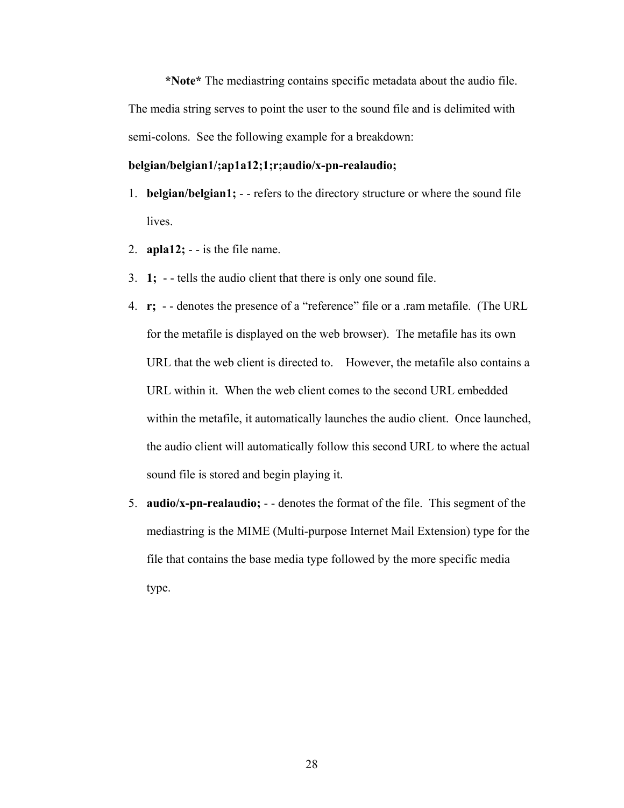**\*Note\*** The mediastring contains specific metadata about the audio file. The media string serves to point the user to the sound file and is delimited with semi-colons. See the following example for a breakdown:

#### **belgian/belgian1/;ap1a12;1;r;audio/x-pn-realaudio;**

- 1. **belgian/belgian1;**  - refers to the directory structure or where the sound file lives.
- 2.  $apla12$ ;  $-$  is the file name.
- 3. **1;** - tells the audio client that there is only one sound file.
- 4. **r;** - denotes the presence of a "reference" file or a .ram metafile. (The URL for the metafile is displayed on the web browser). The metafile has its own URL that the web client is directed to. However, the metafile also contains a URL within it. When the web client comes to the second URL embedded within the metafile, it automatically launches the audio client. Once launched, the audio client will automatically follow this second URL to where the actual sound file is stored and begin playing it.
- 5. **audio/x-pn-realaudio;** - denotes the format of the file. This segment of the mediastring is the MIME (Multi-purpose Internet Mail Extension) type for the file that contains the base media type followed by the more specific media type.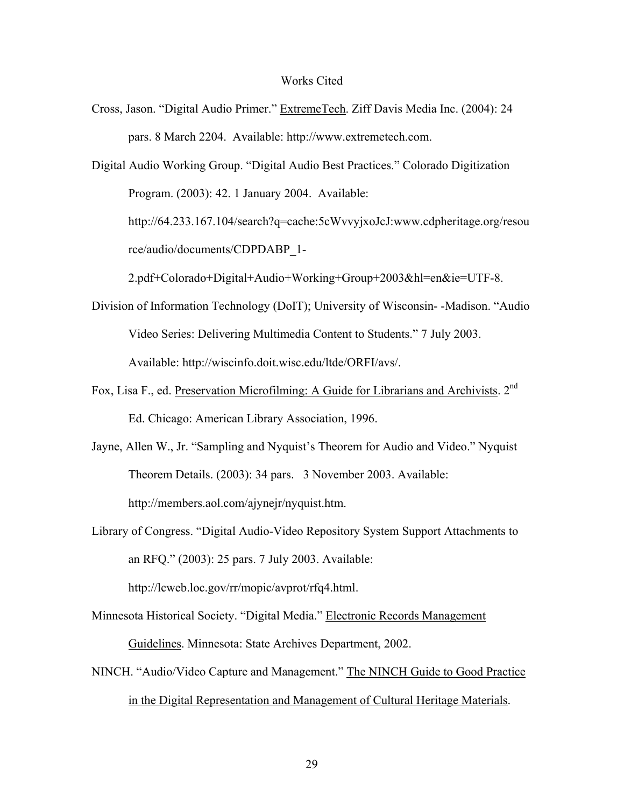#### Works Cited

Cross, Jason. "Digital Audio Primer." ExtremeTech. Ziff Davis Media Inc. (2004): 24 pars. 8 March 2204. Available: http://www.extremetech.com.

Digital Audio Working Group. "Digital Audio Best Practices." Colorado Digitization Program. (2003): 42. 1 January 2004. Available: http://64.233.167.104/search?q=cache:5cWvvyjxoJcJ:www.cdpheritage.org/resou rce/audio/documents/CDPDABP\_1-

- 2.pdf+Colorado+Digital+Audio+Working+Group+2003&hl=en&ie=UTF-8.
- Division of Information Technology (DoIT); University of Wisconsin- -Madison. "Audio Video Series: Delivering Multimedia Content to Students." 7 July 2003. Available: http://wiscinfo.doit.wisc.edu/ltde/ORFI/avs/.
- Fox, Lisa F., ed. Preservation Microfilming: A Guide for Librarians and Archivists. 2<sup>nd</sup> Ed. Chicago: American Library Association, 1996.
- Jayne, Allen W., Jr. "Sampling and Nyquist's Theorem for Audio and Video." Nyquist Theorem Details. (2003): 34 pars. 3 November 2003. Available: http://members.aol.com/ajynejr/nyquist.htm.
- Library of Congress. "Digital Audio-Video Repository System Support Attachments to an RFQ." (2003): 25 pars. 7 July 2003. Available:

http://lcweb.loc.gov/rr/mopic/avprot/rfq4.html.

- Minnesota Historical Society. "Digital Media." Electronic Records Management Guidelines. Minnesota: State Archives Department, 2002.
- NINCH. "Audio/Video Capture and Management." The NINCH Guide to Good Practice in the Digital Representation and Management of Cultural Heritage Materials.